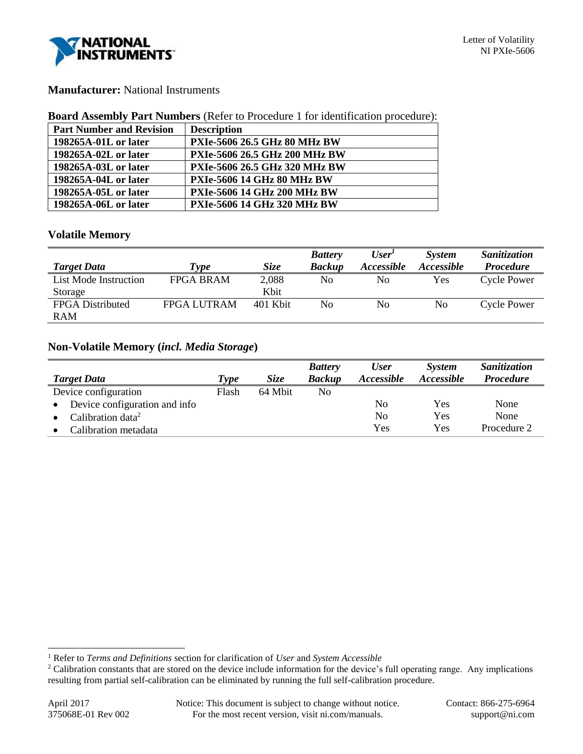

## **Manufacturer:** National Instruments

### **Board Assembly Part Numbers** (Refer to Procedure 1 for identification procedure):

| <b>Part Number and Revision</b> | <b>Description</b>                   |
|---------------------------------|--------------------------------------|
| 198265A-01L or later            | <b>PXIe-5606 26.5 GHz 80 MHz BW</b>  |
| 198265A-02L or later            | <b>PXIe-5606 26.5 GHz 200 MHz BW</b> |
| 198265A-03L or later            | PXIe-5606 26.5 GHz 320 MHz BW        |
| 198265A-04L or later            | <b>PXIe-5606 14 GHz 80 MHz BW</b>    |
| 198265A-05L or later            | <b>PXIe-5606 14 GHz 200 MHz BW</b>   |
| 198265A-06L or later            | <b>PXIe-5606 14 GHz 320 MHz BW</b>   |

## **Volatile Memory**

|                         |                    |             | <b>Battery</b> | User'                    | <b>System</b>     | Sanitization       |
|-------------------------|--------------------|-------------|----------------|--------------------------|-------------------|--------------------|
| <b>Target Data</b>      | Type               | <i>Size</i> | <b>Backup</b>  | <i><b>Accessible</b></i> | <i>Accessible</i> | <b>Procedure</b>   |
| List Mode Instruction   | <b>FPGA BRAM</b>   | 2,088       | No             | No                       | <b>Yes</b>        | <b>Cycle Power</b> |
| Storage                 |                    | Kbit        |                |                          |                   |                    |
| <b>FPGA</b> Distributed | <b>FPGA LUTRAM</b> | 401 Kbit    | No             | No                       | No.               | Cycle Power        |
| <b>RAM</b>              |                    |             |                |                          |                   |                    |

## **Non-Volatile Memory (***incl. Media Storage***)**

| <b>Target Data</b>            | Type  | <i>Size</i> | <b>Battery</b><br><b>Backup</b> | <b>User</b><br>Accessible | <b>System</b><br>Accessible | Sanitization<br><b>Procedure</b> |
|-------------------------------|-------|-------------|---------------------------------|---------------------------|-----------------------------|----------------------------------|
| Device configuration          | Flash | 64 Mbit     | No                              |                           |                             |                                  |
| Device configuration and info |       |             |                                 | No                        | Yes                         | None                             |
| Calibration data <sup>2</sup> |       |             |                                 | No                        | Yes                         | None                             |
| Calibration metadata          |       |             |                                 | Yes                       | Yes                         | Procedure 2                      |

l

<sup>1</sup> Refer to *Terms and Definitions* section for clarification of *User* and *System Accessible*

<sup>&</sup>lt;sup>2</sup> Calibration constants that are stored on the device include information for the device's full operating range. Any implications resulting from partial self-calibration can be eliminated by running the full self-calibration procedure.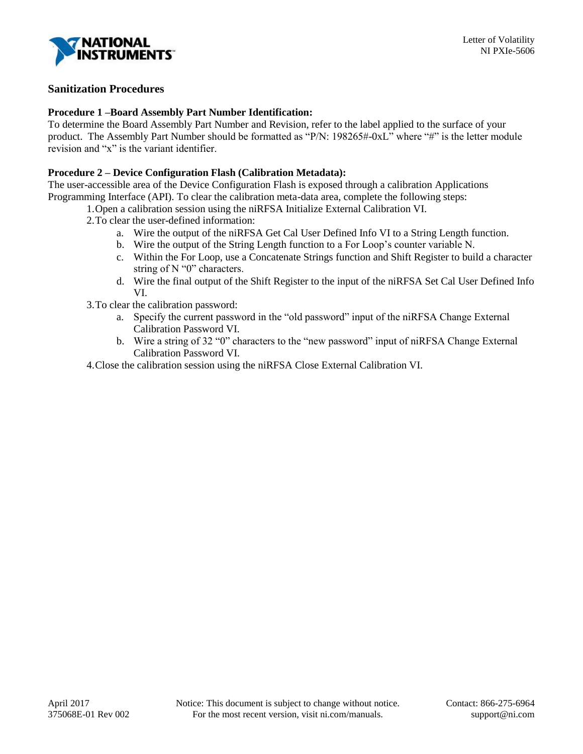

# **Sanitization Procedures**

### **Procedure 1 –Board Assembly Part Number Identification:**

To determine the Board Assembly Part Number and Revision, refer to the label applied to the surface of your product. The Assembly Part Number should be formatted as "P/N: 198265#-0xL" where "#" is the letter module revision and "x" is the variant identifier.

## **Procedure 2 – Device Configuration Flash (Calibration Metadata):**

The user-accessible area of the Device Configuration Flash is exposed through a calibration Applications Programming Interface (API). To clear the calibration meta-data area, complete the following steps:

1.Open a calibration session using the niRFSA Initialize External Calibration VI.

- 2.To clear the user-defined information:
	- a. Wire the output of the niRFSA Get Cal User Defined Info VI to a String Length function.
	- b. Wire the output of the String Length function to a For Loop's counter variable N.
	- c. Within the For Loop, use a Concatenate Strings function and Shift Register to build a character string of N "0" characters.
	- d. Wire the final output of the Shift Register to the input of the niRFSA Set Cal User Defined Info VI.
- 3.To clear the calibration password:
	- a. Specify the current password in the "old password" input of the niRFSA Change External Calibration Password VI.
	- b. Wire a string of 32 "0" characters to the "new password" input of niRFSA Change External Calibration Password VI.
- 4.Close the calibration session using the niRFSA Close External Calibration VI.